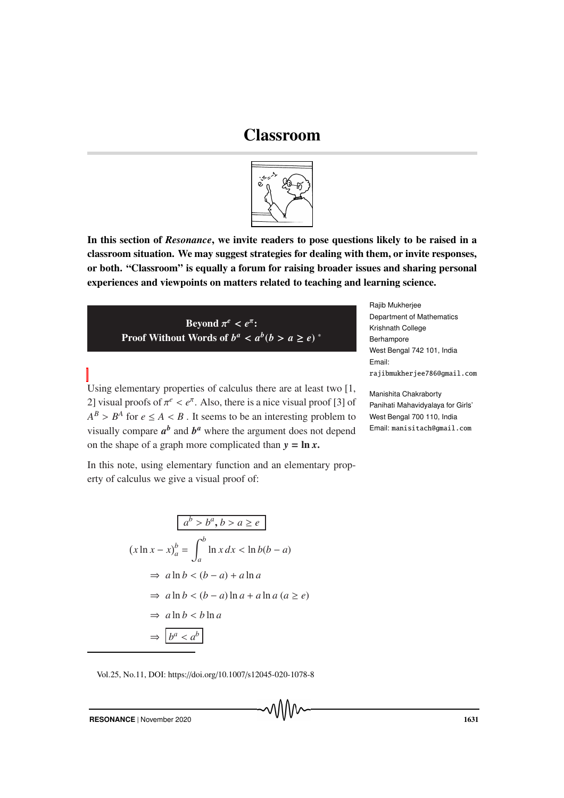## Classroom



In this section of *Resonance*, we invite readers to pose questions likely to be raised in a classroom situation. We may suggest strategies for dealing with them, or invite responses, or both. "Classroom" is equally a forum for raising broader issues and sharing personal experiences and viewpoints on matters related to teaching and learning science.

Beyond  $\pi^e < e^{\pi}$ : Proof Without Words of  $b^a < a^b$  ( $b > a \ge e$ ) \* Rajib Mukherjee Department of Mathematics Krishnath College Berhampore West Bengal 742 101, India Email: rajibmukherjee786@gmail.com

Manishita Chakraborty Panihati Mahavidyalaya for Girls' West Bengal 700 110, India Email: manisitach@gmail.com

Using elementary properties of calculus there are at least two [1, 2] visual proofs of  $\pi^e < e^{\pi}$ . Also, there is a nice visual proof [3] of  $A^B > B^A$  for  $e \leq A < B$ . It seems to be an interesting problem to visually compare  $a^b$  and  $b^a$  where the argument does not depend on the shape of a graph more complicated than  $y = \ln x$ .

In this note, using elementary function and an elementary property of calculus we give a visual proof of:

$$
(x \ln x - x)_a^b = \int_a^b \ln x \, dx < \ln b(b - a)
$$
\n
$$
\Rightarrow a \ln b < (b - a) + a \ln a
$$
\n
$$
\Rightarrow a \ln b < (b - a) \ln a + a \ln a \quad (a \ge e)
$$
\n
$$
\Rightarrow a \ln b < b \ln a
$$
\n
$$
\Rightarrow \boxed{b^a < a^b}
$$

Vol.25, No.11, DOI: https://doi.org/10.1007/s12045-020-1078-8

**RESONANCE** | November 2020 **1631**<br>
1631